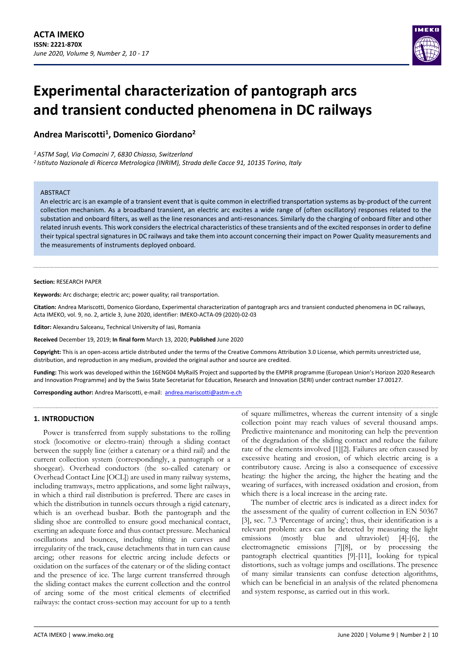

# **Experimental characterization of pantograph arcs and transient conducted phenomena in DC railways**

**Andrea Mariscotti<sup>1</sup> , Domenico Giordano<sup>2</sup>**

*<sup>1</sup>ASTM Sagl, Via Comacini 7, 6830 Chiasso, Switzerland*

*<sup>2</sup>Istituto Nazionale di Ricerca Metrologica (INRIM), Strada delle Cacce 91, 10135 Torino, Italy*

## ABSTRACT

An electric arc is an example of a transient event that is quite common in electrified transportation systems as by-product of the current collection mechanism. As a broadband transient, an electric arc excites a wide range of (often oscillatory) responses related to the substation and onboard filters, as well as the line resonances and anti-resonances. Similarly do the charging of onboard filter and other related inrush events. This work considers the electrical characteristics of these transients and of the excited responses in order to define their typical spectral signatures in DC railways and take them into account concerning their impact on Power Quality measurements and the measurements of instruments deployed onboard.

#### **Section:** RESEARCH PAPER

**Keywords:** Arc discharge; electric arc; power quality; rail transportation.

**Citation:** Andrea Mariscotti, Domenico Giordano, Experimental characterization of pantograph arcs and transient conducted phenomena in DC railways, Acta IMEKO, vol. 9, no. 2, article 3, June 2020, identifier: IMEKO-ACTA-09 (2020)-02-03

**Editor:** Alexandru Salceanu, Technical University of Iasi, Romania

**Received** December 19, 2019; **In final form** March 13, 2020; **Published** June 2020

**Copyright:** This is an open-access article distributed under the terms of the Creative Commons Attribution 3.0 License, which permits unrestricted use, distribution, and reproduction in any medium, provided the original author and source are credited.

**Funding:** This work was developed within the 16ENG04 MyRailS Project and supported by the EMPIR programme (European Union's Horizon 2020 Research and Innovation Programme) and by the Swiss State Secretariat for Education, Research and Innovation (SERI) under contract number 17.00127.

Corresponding author: Andrea Mariscotti, e-mail: [andrea.mariscotti@astm-e.ch](mailto:andrea.mariscotti@astm-e.ch)

# **1. INTRODUCTION**

Power is transferred from supply substations to the rolling stock (locomotive or electro-train) through a sliding contact between the supply line (either a catenary or a third rail) and the current collection system (correspondingly, a pantograph or a shoegear). Overhead conductors (the so-called catenary or Overhead Contact Line [OCL]) are used in many railway systems, including tramways, metro applications, and some light railways, in which a third rail distribution is preferred. There are cases in which the distribution in tunnels occurs through a rigid catenary, which is an overhead busbar. Both the pantograph and the sliding shoe are controlled to ensure good mechanical contact, exerting an adequate force and thus contact pressure. Mechanical oscillations and bounces, including tilting in curves and irregularity of the track, cause detachments that in turn can cause arcing; other reasons for electric arcing include defects or oxidation on the surfaces of the catenary or of the sliding contact and the presence of ice. The large current transferred through the sliding contact makes the current collection and the control of arcing some of the most critical elements of electrified railways: the contact cross-section may account for up to a tenth

of square millimetres, whereas the current intensity of a single collection point may reach values of several thousand amps. Predictive maintenance and monitoring can help the prevention of the degradation of the sliding contact and reduce the failure rate of the elements involved [\[1\]](#page-6-0)[\[2\].](#page-6-1) Failures are often caused by excessive heating and erosion, of which electric arcing is a contributory cause. Arcing is also a consequence of excessive heating: the higher the arcing, the higher the heating and the wearing of surfaces, with increased oxidation and erosion, from which there is a local increase in the arcing rate.

The number of electric arcs is indicated as a direct index for the assessment of the quality of current collection in EN 50367 [\[3\]](#page-6-2), sec. 7.3 'Percentage of arcing'; thus, their identification is a relevant problem: arcs can be detected by measuring the light emissions (mostly blue and ultraviolet) [\[4\]](#page-6-3)[-\[6\],](#page-6-4) the electromagnetic emissions [\[7\]](#page-6-5)[\[8\],](#page-6-6) or by processing the pantograph electrical quantities [\[9\]](#page-6-7)[-\[11\],](#page-6-8) looking for typical distortions, such as voltage jumps and oscillations. The presence of many similar transients can confuse detection algorithms, which can be beneficial in an analysis of the related phenomena and system response, as carried out in this work.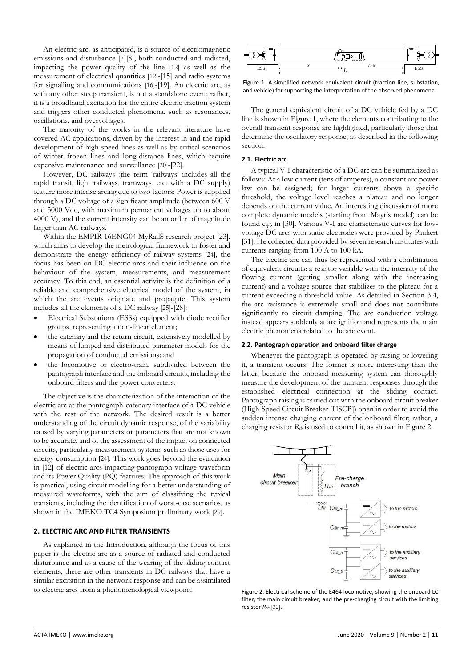An electric arc, as anticipated, is a source of electromagnetic emissions and disturbance [\[7\]](#page-6-5)[\[8\],](#page-6-6) both conducted and radiated, impacting the power quality of the line [\[12\]](#page-6-9) as well as the measurement of electrical quantities [\[12\]](#page-6-9)[-\[15\]](#page-6-10) and radio systems for signalling and communications [\[16\]](#page-6-11)[-\[19\].](#page-6-12) An electric arc, as with any other steep transient, is not a standalone event; rather, it is a broadband excitation for the entire electric traction system and triggers other conducted phenomena, such as resonances, oscillations, and overvoltages.

The majority of the works in the relevant literature have covered AC applications, driven by the interest in and the rapid development of high-speed lines as well as by critical scenarios of winter frozen lines and long-distance lines, which require expensive maintenance and surveillance [\[20\]](#page-6-13)[-\[22\].](#page-6-14)

However, DC railways (the term 'railways' includes all the rapid transit, light railways, tramways, etc. with a DC supply) feature more intense arcing due to two factors: Power is supplied through a DC voltage of a significant amplitude (between 600 V and 3000 Vdc, with maximum permanent voltages up to about 4000 V), and the current intensity can be an order of magnitude larger than AC railways.

Within the EMPIR 16ENG04 MyRailS research project [\[23\],](#page-6-15)  which aims to develop the metrological framework to foster and demonstrate the energy efficiency of railway systems [\[24\]](#page-6-16), the focus has been on DC electric arcs and their influence on the behaviour of the system, measurements, and measurement accuracy. To this end, an essential activity is the definition of a reliable and comprehensive electrical model of the system, in which the arc events originate and propagate. This system includes all the elements of a DC railway [\[25\]](#page-6-17)[-\[28\]:](#page-6-18)

- Electrical Substations (ESSs) equipped with diode rectifier groups, representing a non-linear element;
- the catenary and the return circuit, extensively modelled by means of lumped and distributed parameter models for the propagation of conducted emissions; and
- the locomotive or electro-train, subdivided between the pantograph interface and the onboard circuits, including the onboard filters and the power converters.

The objective is the characterization of the interaction of the electric arc at the pantograph-catenary interface of a DC vehicle with the rest of the network. The desired result is a better understanding of the circuit dynamic response, of the variability caused by varying parameters or parameters that are not known to be accurate, and of the assessment of the impact on connected circuits, particularly measurement systems such as those uses for energy consumption [\[24\]](#page-6-16). This work goes beyond the evaluation in [\[12\]](#page-6-9) of electric arcs impacting pantograph voltage waveform and its Power Quality (PQ) features. The approach of this work is practical, using circuit modelling for a better understanding of measured waveforms, with the aim of classifying the typical transients, including the identification of worst-case scenarios, as shown in the IMEKO TC4 Symposium preliminary work [\[29\]](#page-6-19).

# **2. ELECTRIC ARC AND FILTER TRANSIENTS**

As explained in the Introduction, although the focus of this paper is the electric arc as a source of radiated and conducted disturbance and as a cause of the wearing of the sliding contact elements, there are other transients in DC railways that have a similar excitation in the network response and can be assimilated to electric arcs from a phenomenological viewpoint.

<span id="page-1-2"></span>

<span id="page-1-0"></span>Figure 1. A simplified network equivalent circuit (traction line, substation, and vehicle) for supporting the interpretation of the observed phenomena.

The general equivalent circuit of a DC vehicle fed by a DC line is shown in [Figure 1,](#page-1-0) where the elements contributing to the overall transient response are highlighted, particularly those that determine the oscillatory response, as described in the following section.

## **2.1. Electric arc**

A typical V-I characteristic of a DC arc can be summarized as follows: At a low current (tens of amperes), a constant arc power law can be assigned; for larger currents above a specific threshold, the voltage level reaches a plateau and no longer depends on the current value. An interesting discussion of more complete dynamic models (starting from Mayr's model) can be found e.g. in [\[30\].](#page-7-0) Various V-I arc characteristic curves for lowvoltage DC arcs with static electrodes were provided by Paukert [\[31\]:](#page-7-1) He collected data provided by seven research institutes with currents ranging from 100 A to 100 kA.

The electric arc can thus be represented with a combination of equivalent circuits: a resistor variable with the intensity of the flowing current (getting smaller along with the increasing current) and a voltage source that stabilizes to the plateau for a current exceeding a threshold value. As detailed in Section [3.4,](#page-4-0) the arc resistance is extremely small and does not contribute significantly to circuit damping. The arc conduction voltage instead appears suddenly at arc ignition and represents the main electric phenomena related to the arc event.

## **2.2. Pantograph operation and onboard filter charge**

Whenever the pantograph is operated by raising or lowering it, a transient occurs: The former is more interesting than the latter, because the onboard measuring system can thoroughly measure the development of the transient responses through the established electrical connection at the sliding contact. Pantograph raising is carried out with the onboard circuit breaker (High-Speed Circuit Breaker [HSCB]) open in order to avoid the sudden intense charging current of the onboard filter; rather, a charging resistor *Rch* is used to control it, as shown in [Figure 2.](#page-1-1)



<span id="page-1-1"></span>Figure 2. Electrical scheme of the E464 locomotive, showing the onboard LC filter, the main circuit breaker, and the pre-charging circuit with the limiting resistor *Rch* [\[32\]](#page-7-2).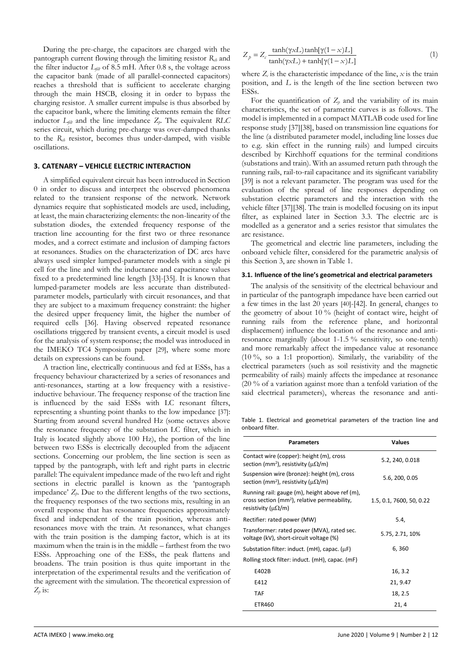During the pre-charge, the capacitors are charged with the pantograph current flowing through the limiting resistor *Rch* and the filter inductor *Lfilt* of 8.5 mH. After 0.8 s, the voltage across the capacitor bank (made of all parallel-connected capacitors) reaches a threshold that is sufficient to accelerate charging through the main HSCB, closing it in order to bypass the charging resistor. A smaller current impulse is thus absorbed by the capacitor bank, where the limiting elements remain the filter inductor *Lfilt* and the line impedance *Zp*. The equivalent *RLC* series circuit, which during pre-charge was over-damped thanks to the *Rch* resistor, becomes thus under-damped, with visible oscillations.

# <span id="page-2-0"></span>**3. CATENARY – VEHICLE ELECTRIC INTERACTION**

A simplified equivalent circuit has been introduced in Section [0](#page-1-2) in order to discuss and interpret the observed phenomena related to the transient response of the network. Network dynamics require that sophisticated models are used, including, at least, the main characterizing elements: the non-linearity of the substation diodes, the extended frequency response of the traction line accounting for the first two or three resonance modes, and a correct estimate and inclusion of damping factors at resonances. Studies on the characterization of DC arcs have always used simpler lumped-parameter models with a single pi cell for the line and with the inductance and capacitance values fixed to a predetermined line length [\[33\]](#page-7-3)[-\[35\].](#page-7-4) It is known that lumped-parameter models are less accurate than distributedparameter models, particularly with circuit resonances, and that they are subject to a maximum frequency constraint: the higher the desired upper frequency limit, the higher the number of required cells [\[36\].](#page-7-5) Having observed repeated resonance oscillations triggered by transient events, a circuit model is used for the analysis of system response; the model was introduced in the IMEKO TC4 Symposium paper [\[29\]](#page-6-19), where some more details on expressions can be found.

A traction line, electrically continuous and fed at ESSs, has a frequency behaviour characterized by a series of resonances and anti-resonances, starting at a low frequency with a resistiveinductive behaviour. The frequency response of the traction line is influenced by the said ESSs with LC resonant filters, representing a shunting point thanks to the low impedance [\[37\]](#page-7-6): Starting from around several hundred Hz (some octaves above the resonance frequency of the substation LC filter, which in Italy is located slightly above 100 Hz), the portion of the line between two ESSs is electrically decoupled from the adjacent sections. Concerning our problem, the line section is seen as tapped by the pantograph, with left and right parts in electric parallel: The equivalent impedance made of the two left and right sections in electric parallel is known as the 'pantograph impedance'  $Z_p$ . Due to the different lengths of the two sections, the frequency responses of the two sections mix, resulting in an overall response that has resonance frequencies approximately fixed and independent of the train position, whereas antiresonances move with the train. At resonances, what changes with the train position is the damping factor, which is at its maximum when the train is in the middle – farthest from the two ESSs. Approaching one of the ESSs, the peak flattens and broadens. The train position is thus quite important in the interpretation of the experimental results and the verification of the agreement with the simulation. The theoretical expression of  $Z_p$  is:

$$
Z_p = Z_c \frac{\tanh(\gamma x L)\tanh[\gamma(1 - x)L]}{\tanh(\gamma x L) + \tanh[\gamma(1 - x)L]}
$$
 (1)

where  $Z_c$  is the characteristic impedance of the line,  $x$  is the train position, and *L* is the length of the line section between two ESSs.

For the quantification of  $Z_p$  and the variability of its main characteristics, the set of parametric curves is as follows. The model is implemented in a compact MATLAB code used for line response study [\[37\]](#page-7-6)[\[38\],](#page-7-7) based on transmission line equations for the line (a distributed parameter model, including line losses due to e.g. skin effect in the running rails) and lumped circuits described by Kirchhoff equations for the terminal conditions (substations and train). With an assumed return path through the running rails, rail-to-rail capacitance and its significant variability [\[39\]](#page-7-8) is not a relevant parameter. The program was used for the evaluation of the spread of line responses depending on substation electric parameters and the interaction with the vehicle filte[r \[37\]](#page-7-6)[\[38\].](#page-7-7) The train is modelled focusing on its input filter, as explained later in Section [3.3.](#page-3-0) The electric arc is modelled as a generator and a series resistor that simulates the arc resistance.

The geometrical and electric line parameters, including the onboard vehicle filter, considered for the parametric analysis of this Section [3,](#page-2-0) are shown i[n Table 1.](#page-2-1)

#### **3.1. Influence of the line's geometrical and electrical parameters**

The analysis of the sensitivity of the electrical behaviour and in particular of the pantograph impedance have been carried out a few times in the last 20 years [\[40\]](#page-7-9)[-\[42\].](#page-7-10) In general, changes to the geometry of about 10 % (height of contact wire, height of running rails from the reference plane, and horizontal displacement) influence the location of the resonance and antiresonance marginally (about 1-1.5 % sensitivity, so one-tenth) and more remarkably affect the impedance value at resonance (10 %, so a 1:1 proportion). Similarly, the variability of the electrical parameters (such as soil resistivity and the magnetic permeability of rails) mainly affects the impedance at resonance (20 % of a variation against more than a tenfold variation of the said electrical parameters), whereas the resonance and anti-

<span id="page-2-1"></span>Table 1. Electrical and geometrical parameters of the traction line and onboard filter.

| <b>Parameters</b>                                                                                                                           | <b>Values</b>            |
|---------------------------------------------------------------------------------------------------------------------------------------------|--------------------------|
| Contact wire (copper): height (m), cross<br>section (mm <sup>2</sup> ), resistivity ( $\mu\Omega/m$ )                                       | 5.2, 240, 0.018          |
| Suspension wire (bronze): height (m), cross<br>section (mm <sup>2</sup> ), resistivity ( $\mu\Omega/m$ )                                    | 5.6, 200, 0.05           |
| Running rail: gauge (m), height above ref (m),<br>cross section (mm <sup>2</sup> ), relative permeability,<br>resistivity ( $\mu\Omega/m$ ) | 1.5, 0.1, 7600, 50, 0.22 |
| Rectifier: rated power (MW)                                                                                                                 | 5.4,                     |
| Transformer: rated power (MVA), rated sec.<br>voltage (kV), short-circuit voltage (%)                                                       | 5.75, 2.71, 10%          |
| Substation filter: induct. $(mH)$ , capac. $(\mu F)$                                                                                        | 6,360                    |
| Rolling stock filter: induct. (mH), capac. (mF)                                                                                             |                          |
| E402B                                                                                                                                       | 16, 3.2                  |
| E412                                                                                                                                        | 21, 9.47                 |
| <b>TAF</b>                                                                                                                                  | 18, 2.5                  |
| ETR460                                                                                                                                      | 21, 4                    |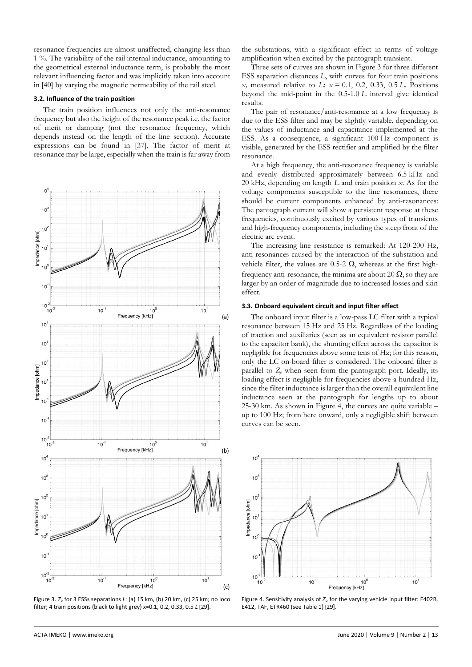resonance frequencies are almost unaffected, changing less than 1 %. The variability of the rail internal inductance, amounting to the geometrical external inductance term, is probably the most relevant influencing factor and was implicitly taken into account in [\[40\]](#page-7-9) by varying the magnetic permeability of the rail steel.

## **3.2. Influence of the train position**

The train position influences not only the anti-resonance frequency but also the height of the resonance peak i.e. the factor of merit or damping (not the resonance frequency, which depends instead on the length of the line section). Accurate expressions can be found in [\[37\].](#page-7-6) The factor of merit at resonance may be large, especially when the train is far away from



<span id="page-3-1"></span>Figure 3. *Z*<sup>p</sup> for 3 ESSs separations *L*: (a) 15 km, (b) 20 km, (c) 25 km; no loco filter; 4 train positions (black to light grey) x=0.1, 0.2, 0.33, 0.5 *L* [[29\].](#page-6-19)

the substations, with a significant effect in terms of voltage amplification when excited by the pantograph transient.

Three sets of curves are shown in [Figure 3](#page-3-1) for three different ESS separation distances *L*, with curves for four train positions *x,* measured relative to *L*: *x* = 0.1, 0.2, 0.33, 0.5 *L*. Positions beyond the mid-point in the 0.5-1.0 *L* interval give identical results.

The pair of resonance/anti-resonance at a low frequency is due to the ESS filter and may be slightly variable, depending on the values of inductance and capacitance implemented at the ESS. As a consequence, a significant 100 Hz component is visible, generated by the ESS rectifier and amplified by the filter resonance.

At a high frequency, the anti-resonance frequency is variable and evenly distributed approximately between 6.5 kHz and 20 kHz, depending on length *L* and train position *x*. As for the voltage components susceptible to the line resonances, there should be current components enhanced by anti-resonances: The pantograph current will show a persistent response at these frequencies, continuously excited by various types of transients and high-frequency components, including the steep front of the electric arc event.

The increasing line resistance is remarked: At 120-200 Hz, anti-resonances caused by the interaction of the substation and vehicle filter, the values are 0.5-2  $\Omega$ , whereas at the first highfrequency anti-resonance, the minima are about 20  $\Omega$ , so they are larger by an order of magnitude due to increased losses and skin effect.

#### <span id="page-3-0"></span>**3.3. Onboard equivalent circuit and input filter effect**

The onboard input filter is a low-pass LC filter with a typical resonance between 15 Hz and 25 Hz. Regardless of the loading of traction and auxiliaries (seen as an equivalent resistor parallel to the capacitor bank), the shunting effect across the capacitor is negligible for frequencies above some tens of Hz; for this reason, only the LC on-board filter is considered. The onboard filter is parallel to  $Z_p$  when seen from the pantograph port. Ideally, its loading effect is negligible for frequencies above a hundred Hz, since the filter inductance is larger than the overall equivalent line inductance seen at the pantograph for lengths up to about 25-30 km. As shown in [Figure 4,](#page-3-2) the curves are quite variable – up to 100 Hz; from here onward, only a negligible shift between curves can be seen.



<span id="page-3-2"></span>Figure 4. Sensitivity analysis of *Z*<sup>p</sup> for the varying vehicle input filter: E402B, E412, TAF, ETR460 (see Table 1) [[29\].](#page-6-19)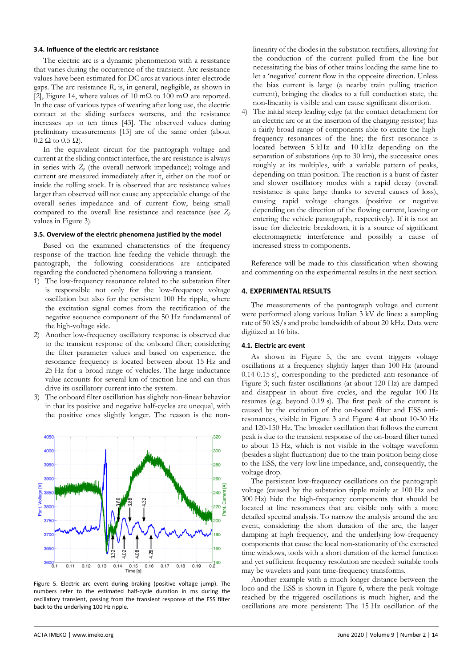## <span id="page-4-0"></span>**3.4. Influence of the electric arc resistance**

The electric arc is a dynamic phenomenon with a resistance that varies during the occurrence of the transient. Arc resistance values have been estimated for DC arcs at various inter-electrode gaps. The arc resistance *R<sup>a</sup>* is, in general, negligible, as shown in [\[2\],](#page-6-1) Figure 14, where values of 10 mΩ to 100 mΩ are reported. In the case of various types of wearing after long use, the electric contact at the sliding surfaces worsens, and the resistance increases up to ten times [\[43\].](#page-7-11) The observed values during preliminary measurements [\[13\]](#page-6-20) are of the same order (about  $0.2 \Omega$  to  $0.5 \Omega$ ).

In the equivalent circuit for the pantograph voltage and current at the sliding contact interface, the arc resistance is always in series with  $Z_p$  (the overall network impedance); voltage and current are measured immediately after it, either on the roof or inside the rolling stock. It is observed that arc resistance values larger than observed will not cause any appreciable change of the overall series impedance and of current flow, being small compared to the overall line resistance and reactance (see *Z<sup>p</sup>* values i[n Figure 3\)](#page-3-1).

#### **3.5. Overview of the electric phenomena justified by the model**

Based on the examined characteristics of the frequency response of the traction line feeding the vehicle through the pantograph, the following considerations are anticipated regarding the conducted phenomena following a transient.

- 1) The low-frequency resonance related to the substation filter is responsible not only for the low-frequency voltage oscillation but also for the persistent 100 Hz ripple, where the excitation signal comes from the rectification of the negative sequence component of the 50 Hz fundamental of the high-voltage side.
- 2) Another low-frequency oscillatory response is observed due to the transient response of the onboard filter; considering the filter parameter values and based on experience, the resonance frequency is located between about 15 Hz and 25 Hz for a broad range of vehicles. The large inductance value accounts for several km of traction line and can thus drive its oscillatory current into the system.
- 3) The onboard filter oscillation has slightly non-linear behavior in that its positive and negative half-cycles are unequal, with the positive ones slightly longer. The reason is the non-



<span id="page-4-1"></span>Figure 5. Electric arc event during braking (positive voltage jump). The numbers refer to the estimated half-cycle duration in ms during the oscillatory transient, passing from the transient response of the ESS filter back to the underlying 100 Hz ripple.

linearity of the diodes in the substation rectifiers, allowing for the conduction of the current pulled from the line but necessitating the bias of other trains loading the same line to let a 'negative' current flow in the opposite direction. Unless the bias current is large (a nearby train pulling traction current), bringing the diodes to a full conduction state, the non-linearity is visible and can cause significant distortion.

4) The initial steep leading edge (at the contact detachment for an electric arc or at the insertion of the charging resistor) has a fairly broad range of components able to excite the highfrequency resonances of the line; the first resonance is located between 5 kHz and 10 kHz depending on the separation of substations (up to 30 km), the successive ones roughly at its multiples, with a variable pattern of peaks, depending on train position. The reaction is a burst of faster and slower oscillatory modes with a rapid decay (overall resistance is quite large thanks to several causes of loss), causing rapid voltage changes (positive or negative depending on the direction of the flowing current, leaving or entering the vehicle pantograph, respectively). If it is not an issue for dielectric breakdown, it is a source of significant electromagnetic interference and possibly a cause of increased stress to components.

Reference will be made to this classification when showing and commenting on the experimental results in the next section.

# **4. EXPERIMENTAL RESULTS**

The measurements of the pantograph voltage and current were performed along various Italian 3 kV dc lines: a sampling rate of 50 kS/s and probe bandwidth of about 20 kHz. Data were digitized at 16 bits.

#### **4.1. Electric arc event**

As shown in [Figure 5,](#page-4-1) the arc event triggers voltage oscillations at a frequency slightly larger than 100 Hz (around 0.14-0.15 s), corresponding to the predicted anti-resonance of [Figure 3;](#page-3-1) such faster oscillations (at about 120 Hz) are damped and disappear in about five cycles, and the regular 100 Hz resumes (e.g. beyond 0.19 s). The first peak of the current is caused by the excitation of the on-board filter and ESS antiresonances, visible in [Figure 3](#page-3-1) and Figure 4 at about 10-30 Hz and 120-150 Hz. The broader oscillation that follows the current peak is due to the transient response of the on-board filter tuned to about 15 Hz, which is not visible in the voltage waveform (besides a slight fluctuation) due to the train position being close to the ESS, the very low line impedance, and, consequently, the voltage drop.

The persistent low-frequency oscillations on the pantograph voltage (caused by the substation ripple mainly at 100 Hz and 300 Hz) hide the high-frequency components that should be located at line resonances that are visible only with a more detailed spectral analysis. To narrow the analysis around the arc event, considering the short duration of the arc, the larger damping at high frequency, and the underlying low-frequency components that cause the local non-stationarity of the extracted time windows, tools with a short duration of the kernel function and yet sufficient frequency resolution are needed: suitable tools may be wavelets and joint time-frequency transforms.

Another example with a much longer distance between the loco and the ESS is shown in [Figure 6,](#page-5-0) where the peak voltage reached by the triggered oscillations is much higher, and the oscillations are more persistent: The 15 Hz oscillation of the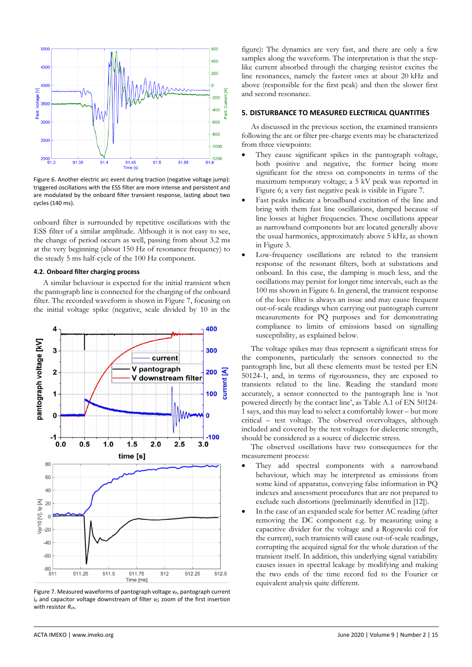

<span id="page-5-0"></span>Figure 6. Another electric arc event during traction (negative voltage jump): triggered oscillations with the ESS filter are more intense and persistent and are modulated by the onboard filter transient response, lasting about two cycles (140 ms).

onboard filter is surrounded by repetitive oscillations with the ESS filter of a similar amplitude. Although it is not easy to see, the change of period occurs as well, passing from about 3.2 ms at the very beginning (about 150 Hz of resonance frequency) to the steady 5 ms half-cycle of the 100 Hz component.

## **4.2. Onboard filter charging process**

A similar behaviour is expected for the initial transient when the pantograph line is connected for the charging of the onboard filter. The recorded waveform is shown in [Figure 7,](#page-5-1) focusing on the initial voltage spike (negative, scale divided by 10 in the



<span id="page-5-1"></span>Figure 7. Measured waveforms of pantograph voltage *vp*, pantograph current *i<sup>p</sup>* and capacitor voltage downstream of filter *vf*; zoom of the first insertion with resistor *Rch*.

figure): The dynamics are very fast, and there are only a few samples along the waveform. The interpretation is that the steplike current absorbed through the charging resistor excites the line resonances, namely the fastest ones at about 20 kHz and above (responsible for the first peak) and then the slower first and second resonance.

## **5. DISTURBANCE TO MEASURED ELECTRICAL QUANTITIES**

As discussed in the previous section, the examined transients following the arc or filter pre-charge events may be characterized from three viewpoints:

- They cause significant spikes in the pantograph voltage, both positive and negative, the former being more significant for the stress on components in terms of the maximum temporary voltage; a 5 kV peak was reported in [Figure 6;](#page-5-0) a very fast negative peak is visible in [Figure 7.](#page-5-1)
- Fast peaks indicate a broadband excitation of the line and bring with them fast line oscillations, damped because of line losses at higher frequencies. These oscillations appear as narrowband components but are located generally above the usual harmonics, approximately above 5 kHz, as shown i[n Figure 3.](#page-3-1)
- Low-frequency oscillations are related to the transient response of the resonant filters, both at substations and onboard. In this case, the damping is much less, and the oscillations may persist for longer time intervals, such as the 100 ms shown in [Figure 6.](#page-5-0) In general, the transient response of the loco filter is always an issue and may cause frequent out-of-scale readings when carrying out pantograph current measurements for PQ purposes and for demonstrating compliance to limits of emissions based on signalling susceptibility, as explained below.

The voltage spikes may thus represent a significant stress for the components, particularly the sensors connected to the pantograph line, but all these elements must be tested per EN 50124-1, and, in terms of rigorousness, they are exposed to transients related to the line. Reading the standard more accurately, a sensor connected to the pantograph line is 'not powered directly by the contact line', as Table A.1 of EN 50124- 1 says, and this may lead to select a comfortably lower – but more critical – test voltage. The observed overvoltages, although included and covered by the test voltages for dielectric strength, should be considered as a source of dielectric stress.

The observed oscillations have two consequences for the measurement process:

- They add spectral components with a narrowband behaviour, which may be interpreted as emissions from some kind of apparatus, conveying false information in PQ indexes and assessment procedures that are not prepared to exclude such distortions (preliminarily identified in [\[12\]\)](#page-6-9).
- In the case of an expanded scale for better AC reading (after removing the DC component e.g. by measuring using a capacitive divider for the voltage and a Rogowski coil for the current), such transients will cause out-of-scale readings, corrupting the acquired signal for the whole duration of the transient itself. In addition, this underlying signal variability causes issues in spectral leakage by modifying and making the two ends of the time record fed to the Fourier or equivalent analysis quite different.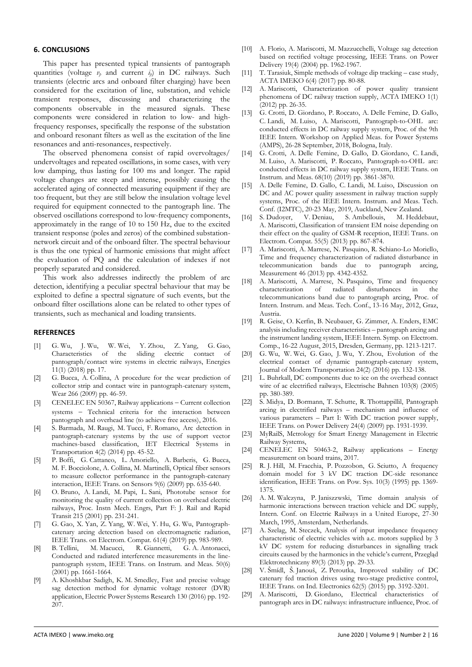# **6. CONCLUSIONS**

This paper has presented typical transients of pantograph quantities (voltage *v<sup>p</sup>* and current *ip*) in DC railways. Such transients (electric arcs and onboard filter charging) have been considered for the excitation of line, substation, and vehicle transient responses, discussing and characterizing the components observable in the measured signals. These components were considered in relation to low- and highfrequency responses, specifically the response of the substation and onboard resonant filters as well as the excitation of the line resonances and anti-resonances, respectively.

The observed phenomena consist of rapid overvoltages/ undervoltages and repeated oscillations, in some cases, with very low damping, thus lasting for 100 ms and longer. The rapid voltage changes are steep and intense, possibly causing the accelerated aging of connected measuring equipment if they are too frequent, but they are still below the insulation voltage level required for equipment connected to the pantograph line. The observed oscillations correspond to low-frequency components, approximately in the range of 10 to 150 Hz, due to the excited transient response (poles and zeros) of the combined substationnetwork circuit and of the onboard filter. The spectral behaviour is thus the one typical of harmonic emissions that might affect the evaluation of PQ and the calculation of indexes if not properly separated and considered.

This work also addresses indirectly the problem of arc detection, identifying a peculiar spectral behaviour that may be exploited to define a spectral signature of such events, but the onboard filter oscillations alone can be related to other types of transients, such as mechanical and loading transients.

## **REFERENCES**

- <span id="page-6-0"></span>[1] G. Wu, J. Wu, W. Wei, Y. Zhou, Z. Yang, G. Gao, Characteristics of the sliding electric contact of pantograph/contact wire systems in electric railways, Energies 11(1) (2018) pp. 17.
- <span id="page-6-1"></span>[2] G. Bucca, A. Collina, A procedure for the wear prediction of collector strip and contact wire in pantograph-catenary system, Wear 266 (2009) pp. 46-59.
- <span id="page-6-2"></span>[3] CENELEC EN 50367, Railway applications − Current collection systems - Technical criteria for the interaction between pantograph and overhead line (to achieve free access), 2016.
- <span id="page-6-3"></span>[4] S. Barmada, M. Raugi, M. Tucci, F. Romano, Arc detection in pantograph-catenary systems by the use of support vector machines-based classification, IET Electrical Systems in Transportation 4(2) (2014) pp. 45-52.
- [5] P. Boffi, G. Cattaneo, L. Amoriello, A. Barberis, G. Bucca, M. F. Bocciolone, A. Collina, M. Martinelli, Optical fiber sensors to measure collector performance in the pantograph-catenary interaction, IEEE Trans. on Sensors 9(6) (2009) pp. 635-640.
- <span id="page-6-4"></span>[6] O. Bruno, A. Landi, M. Papi, L. Sani, Phototube sensor for monitoring the quality of current collection on overhead electric railways, Proc. Instn Mech. Engrs, Part F: J. Rail and Rapid Transit 215 (2001) pp. 231-241.
- <span id="page-6-5"></span>[7] G. Gao, X. Yan, Z. Yang, W. Wei, Y. Hu, G. Wu, Pantographcatenary arcing detection based on electromagnetic radiation, IEEE Trans. on Electrom. Compat. 61(4) (2019) pp. 983-989.
- <span id="page-6-6"></span>[8] B. Tellini, M. Macucci, R. Giannetti, G. A. Antonacci, Conducted and radiated interference measurements in the linepantograph system, IEEE Trans. on Instrum. and Meas. 50(6) (2001) pp. 1661-1664.
- <span id="page-6-7"></span>[9] A. Khoshkbar Sadigh, K. M. Smedley, Fast and precise voltage sag detection method for dynamic voltage restorer (DVR) application, Electric Power Systems Research 130 (2016) pp. 192- 207.
- [10] A. Florio, A. Mariscotti, M. Mazzucchelli, Voltage sag detection based on rectified voltage processing, IEEE Trans. on Power Delivery 19(4) (2004) pp. 1962-1967.
- <span id="page-6-8"></span>[11] T. Tarasiuk, Simple methods of voltage dip tracking – case study, ACTA IMEKO 6(4) (2017) pp. 80-88.
- <span id="page-6-9"></span>[12] A. Mariscotti, Characterization of power quality transient phenomena of DC railway traction supply, ACTA IMEKO 1(1) (2012) pp. 26-35.
- <span id="page-6-20"></span>[13] G. Crotti, D. Giordano, P. Roccato, A. Delle Femine, D. Gallo, C. Landi, M. Luiso, A. Mariscotti, Pantograph-to-OHL arc: conducted effects in DC railway supply system, Proc. of the 9th IEEE Intern. Workshop on Applied Meas. for Power Systems (AMPS), 26-28 September, 2018, Bologna, Italy.
- [14] G. Crotti, A. Delle Femine, D. Gallo, D. Giordano, C. Landi, M. Luiso, A. Mariscotti, P. Roccato, Pantograph-to-OHL arc: conducted effects in DC railway supply system, IEEE Trans. on Instrum. and Meas. 68(10) (2019) pp. 3861-3870.
- <span id="page-6-10"></span>[15] A. Delle Femine, D. Gallo, C. Landi, M. Luiso, Discussion on DC and AC power quality assessment in railway traction supply systems, Proc. of the IEEE Intern. Instrum. and Meas. Tech. Conf. (I2MTC), 20-23 May, 2019, Auckland, New Zealand.
- <span id="page-6-11"></span>[16] S. Dudoyer, V. Deniau, S. Ambellouis, M. Heddebaut, A. Mariscotti, Classification of transient EM noise depending on their effect on the quality of GSM-R reception, IEEE Trans. on Electrom. Compat. 55(5) (2013) pp. 867-874.
- [17] A. Mariscotti, A. Marrese, N. Pasquino, R. Schiano-Lo Moriello, Time and frequency characterization of radiated disturbance in telecommunication bands due to pantograph arcing, Measurement 46 (2013) pp. 4342-4352.
- [18] A. Mariscotti, A. Marrese, N. Pasquino, Time and frequency characterization of radiated disturbances in the telecommunications band due to pantograph arcing, Proc. of Intern. Instrum. and Meas. Tech. Conf., 13-16 May, 2012, Graz, Austria.
- <span id="page-6-12"></span>[19] R. Geise, O. Kerfin, B. Neubauer, G. Zimmer, A. Enders, EMC analysis including receiver characteristics – pantograph arcing and the instrument landing system, IEEE Intern. Symp. on Electrom. Comp., 16-22 August, 2015, Dresden, Germany, pp. 1213-1217.
- <span id="page-6-13"></span>[20] G. Wu, W. Wei, G. Gao, J. Wu, Y. Zhou, Evolution of the electrical contact of dynamic pantograph-catenary system, Journal of Modern Transportation 24(2) (2016) pp. 132-138.
- [21] L. Buhrkall, DC components due to ice on the overhead contact wire of ac electrified railways, Electrische Bahnen 103(8) (2005) pp. 380-389.
- <span id="page-6-14"></span>[22] S. Midya, D. Bormann, T. Schutte, R. Thottappillil, Pantograph arcing in electrified railways – mechanism and influence of various parameters – Part I: With DC traction power supply, IEEE Trans. on Power Delivery 24(4) (2009) pp. 1931-1939.
- <span id="page-6-15"></span>[23] MyRailS, Metrology for Smart Energy Management in Electric Railway Systems,
- <span id="page-6-16"></span>[24] CENELEC EN 50463-2, Railway applications – Energy measurement on board trains, 2017.
- <span id="page-6-17"></span>[25] R. J. Hill, M. Fracchia, P. Pozzobon, G. Sciutto, A frequency domain model for 3 kV DC traction DC-side resonance identification, IEEE Trans. on Pow. Sys. 10(3) (1995) pp. 1369- 1375.
- [26] A. M. Walczyna, P. Janiszzwski, Time domain analysis of harmonic interactions between traction vehicle and DC supply, Intern. Conf. on Electric Railways in a United Europe, 27-30 March, 1995, Amsterdam, Netherlands.
- [27] A. Szelag, M. Steczek, Analysis of input impedance frequency characteristic of electric vehicles with a.c. motors supplied by 3 kV DC system for reducing disturbances in signalling track circuits caused by the harmonics in the vehicle's current, Przegląd Elektrotechniczny 89(3) (2013) pp. 29-33.
- <span id="page-6-18"></span>[28] V. Šmídl, Š. Janouš, Z. Peroutka, Improved stability of DC catenary fed traction drives using two-stage predictive control, IEEE Trans. on Ind. Electronics 62(5) (2015) pp. 3192-3201.
- <span id="page-6-19"></span>[29] A. Mariscotti, D. Giordano, Electrical characteristics of pantograph arcs in DC railways: infrastructure influence, Proc. of